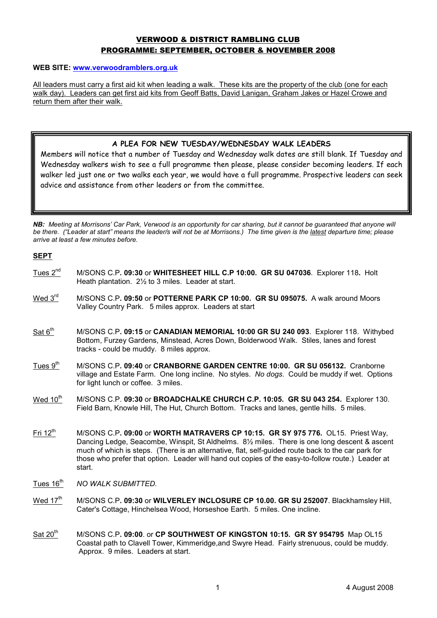# VERWOOD & DISTRICT RAMBLING CLUB PROGRAMME: SEPTEMBER, OCTOBER & NOVEMBER 2008

#### WEB SITE: www.verwoodramblers.org.uk

All leaders must carry a first aid kit when leading a walk. These kits are the property of the club (one for each walk day). Leaders can get first aid kits from Geoff Batts, David Lanigan, Graham Jakes or Hazel Crowe and return them after their walk.

## A PLEA FOR NEW TUESDAY/WEDNESDAY WALK LEADERS

Members will notice that a number of Tuesday and Wednesday walk dates are still blank. If Tuesday and Wednesday walkers wish to see a full programme then please, please consider becoming leaders. If each walker led just one or two walks each year, we would have a full programme. Prospective leaders can seek advice and assistance from other leaders or from the committee.

NB: Meeting at Morrisons' Car Park, Verwood is an opportunity for car sharing, but it cannot be guaranteed that anyone will be there. ("Leader at start" means the leader/s will not be at Morrisons.) The time given is the latest departure time; please arrive at least a few minutes before.

### SEPT

- Tues 2<sup>nd</sup> M/SONS C.P. 09:30 or WHITESHEET HILL C.P 10:00. GR SU 047036. Explorer 118. Holt Heath plantation. 2½ to 3 miles. Leader at start.
- Wed 3<sup>rd</sup> M/SONS C.P. 09:50 or POTTERNE PARK CP 10:00. GR SU 095075. A walk around Moors Valley Country Park. 5 miles approx. Leaders at start
- Sat 6<sup>th</sup> M/SONS C.P. 09:15 or CANADIAN MEMORIAL 10:00 GR SU 240 093. Explorer 118. Withybed Bottom, Furzey Gardens, Minstead, Acres Down, Bolderwood Walk. Stiles, lanes and forest tracks - could be muddy. 8 miles approx.
- Tues 9<sup>th</sup> M/SONS C.P. 09:40 or CRANBORNE GARDEN CENTRE 10:00. GR SU 056132. Cranborne village and Estate Farm. One long incline. No styles. No dogs. Could be muddy if wet. Options for light lunch or coffee. 3 miles.
- Wed 10<sup>th</sup> M/SONS C.P. 09:30 or BROADCHALKE CHURCH C.P. 10:05. GR SU 043 254. Explorer 130. Field Barn, Knowle Hill, The Hut, Church Bottom. Tracks and lanes, gentle hills. 5 miles.
- Fri 12<sup>th</sup> M/SONS C.P. 09:00 or WORTH MATRAVERS CP 10:15. GR SY 975 776. OL15. Priest Way, Dancing Ledge, Seacombe, Winspit, St Aldhelms. 8½ miles. There is one long descent & ascent much of which is steps. (There is an alternative, flat, self-guided route back to the car park for those who prefer that option. Leader will hand out copies of the easy-to-follow route.) Leader at start.
- Tues 16<sup>th</sup> NO WALK SUBMITTED.
- Wed 17<sup>th</sup> M/SONS C.P. 09:30 or WILVERLEY INCLOSURE CP 10.00. GR SU 252007. Blackhamsley Hill, Cater's Cottage, Hinchelsea Wood, Horseshoe Earth. 5 miles. One incline.
- Sat 20<sup>th</sup> M/SONS C.P. 09:00. or CP SOUTHWEST OF KINGSTON 10:15. GR SY 954795 Map OL15 Coastal path to Clavell Tower, Kimmeridge,and Swyre Head. Fairly strenuous, could be muddy. Approx. 9 miles. Leaders at start.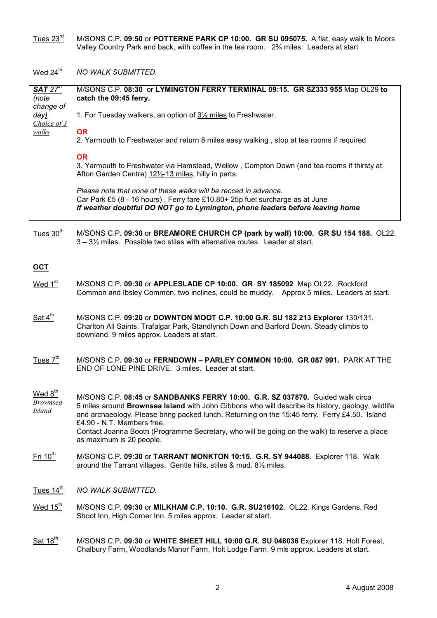$\overline{\rm{Tues~23}^{\rm rd}}$  M/SONS C.P**. 09:50** or POTTERNE PARK CP 10:00. GR SU 095075. A flat, easy walk to Moors Valley Country Park and back, with coffee in the tea room. 2¾ miles. Leaders at start

Wed  $24<sup>th</sup>$  NO WALK SUBMITTED.

| SAT 27 <sup>th</sup><br>(note<br>change of       | M/SONS C.P. 08:30 or LYMINGTON FERRY TERMINAL 09:15. GR SZ333 955 Map OL29 to<br>catch the 09:45 ferry.                                                                                                                                                                                                                                                                                                                                       |
|--------------------------------------------------|-----------------------------------------------------------------------------------------------------------------------------------------------------------------------------------------------------------------------------------------------------------------------------------------------------------------------------------------------------------------------------------------------------------------------------------------------|
| day)<br>Choice of 3                              | 1. For Tuesday walkers, an option of 3 <sup>1/2</sup> miles to Freshwater.                                                                                                                                                                                                                                                                                                                                                                    |
| <i>walks</i>                                     | <b>OR</b><br>2. Yarmouth to Freshwater and return 8 miles easy walking, stop at tea rooms if required                                                                                                                                                                                                                                                                                                                                         |
|                                                  | <b>OR</b><br>3. Yarmouth to Freshwater via Hamstead, Wellow, Compton Down (and tea rooms if thirsty at<br>Afton Garden Centre) 121/2-13 miles, hilly in parts.                                                                                                                                                                                                                                                                                |
|                                                  | Please note that none of these walks will be recced in advance.<br>Car Park £5 (8 - 16 hours), Ferry fare £10.80+ 25p fuel surcharge as at June<br>If weather doubtful DO NOT go to Lymington, phone leaders before leaving home                                                                                                                                                                                                              |
| Tues 30 <sup>th</sup>                            | M/SONS C.P. 09:30 or BREAMORE CHURCH CP (park by wall) 10:00. GR SU 154 188. OL22.<br>3 - 3 <sup>1</sup> / <sub>2</sub> miles. Possible two stiles with alternative routes. Leader at start.                                                                                                                                                                                                                                                  |
| <u>OCT</u>                                       |                                                                                                                                                                                                                                                                                                                                                                                                                                               |
| Wed 1 <sup>st</sup>                              | M/SONS C.P. 09:30 or APPLESLADE CP 10:00. GR SY 185092 Map OL22. Rockford<br>Common and Ibsley Common, two inclines, could be muddy. Approx 5 miles. Leaders at start.                                                                                                                                                                                                                                                                        |
| Sat $4^{\text{th}}$                              | M/SONS C.P. 09:20 or DOWNTON MOOT C.P. 10:00 G.R. SU 182 213 Explorer 130/131.<br>Charlton All Saints, Trafalgar Park, Standlynch Down and Barford Down. Steady climbs to<br>downland. 9 miles approx. Leaders at start.                                                                                                                                                                                                                      |
| Tues $7th$                                       | M/SONS C.P. 09:30 or FERNDOWN - PARLEY COMMON 10:00. GR 087 991. PARK AT THE<br>END OF LONE PINE DRIVE. 3 miles. Leader at start.                                                                                                                                                                                                                                                                                                             |
| Wed 8 <sup>th</sup><br>Brownsea<br><b>Island</b> | M/SONS C.P. 08:45 or SANDBANKS FERRY 10:00. G.R. SZ 037870. Guided walk circa<br>5 miles around Brownsea Island with John Gibbons who will describe its history, geology, wildlife<br>and archaeology. Please bring packed lunch. Returning on the 15:45 ferry. Ferry £4.50. Island<br>£4.90 - N.T. Members free.<br>Contact Joanna Booth (Programme Secretary, who will be going on the walk) to reserve a place<br>as maximum is 20 people. |
| $Fri 10th$                                       | M/SONS C.P. 09:30 or TARRANT MONKTON 10:15. G.R. SY 944088. Explorer 118. Walk<br>around the Tarrant villages. Gentle hills, stiles & mud. 8 <sup>1/2</sup> miles.                                                                                                                                                                                                                                                                            |
| Tues $14^{\text{th}}$                            | NO WALK SUBMITTED.                                                                                                                                                                                                                                                                                                                                                                                                                            |
| Wed $15^{\text{th}}$                             | M/SONS C.P. 09:30 or MILKHAM C.P. 10:10. G.R. SU216102. OL22. Kings Gardens, Red<br>Shoot Inn, High Corner Inn. 5 miles approx. Leader at start.                                                                                                                                                                                                                                                                                              |
| Sat $18^{\text{th}}$                             | M/SONS C.P. 09:30 or WHITE SHEET HILL 10:00 G.R. SU 048036 Explorer 118. Holt Forest,<br>Chalbury Farm, Woodlands Manor Farm, Holt Lodge Farm. 9 mls approx. Leaders at start.                                                                                                                                                                                                                                                                |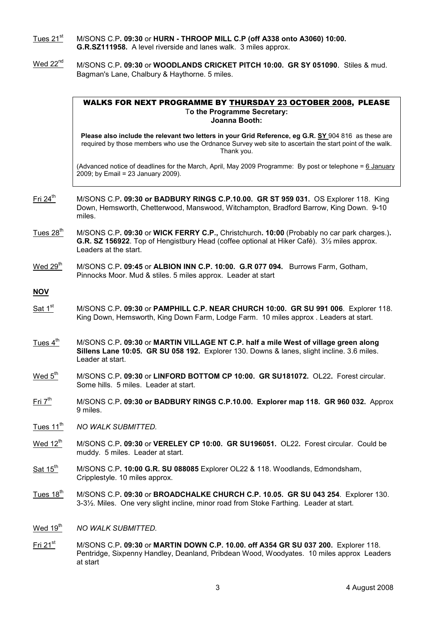- Tues 21<sup>st</sup> M/SONS C.P. 09:30 or HURN THROOP MILL C.P (off A338 onto A3060) 10:00. G.R.SZ111958. A level riverside and lanes walk. 3 miles approx.
- Wed 22<sup>nd</sup> M/SONS C.P. 09:30 or WOODLANDS CRICKET PITCH 10:00. GR SY 051090. Stiles & mud. Bagman's Lane, Chalbury & Haythorne. 5 miles.

#### WALKS FOR NEXT PROGRAMME BY THURSDAY 23 OCTOBER 2008, PLEASE To the Programme Secretary: Joanna Booth:

Please also include the relevant two letters in your Grid Reference, eg G.R. SY 904 816 as these are required by those members who use the Ordnance Survey web site to ascertain the start point of the walk. Thank you.

(Advanced notice of deadlines for the March, April, May 2009 Programme: By post or telephone = 6 January 2009; by Email = 23 January 2009).

- Fri 24<sup>th</sup> M/SONS C.P. 09:30 or BADBURY RINGS C.P.10.00. GR ST 959 031. OS Explorer 118. King Down, Hemsworth, Chetterwood, Manswood, Witchampton, Bradford Barrow, King Down. 9-10 miles.
- Tues  $28<sup>th</sup>$  M/SONS C.P. 09:30 or WICK FERRY C.P., Christchurch. 10:00 (Probably no car park charges.). G.R. SZ 156922. Top of Hengistbury Head (coffee optional at Hiker Café). 3½ miles approx. Leaders at the start.
- Wed  $29<sup>th</sup>$  M/SONS C.P. 09:45 or ALBION INN C.P. 10:00. G.R 077 094. Burrows Farm, Gotham, Pinnocks Moor. Mud & stiles. 5 miles approx. Leader at start

## **NOV**

- Sat  $1<sup>st</sup>$  M/SONS C.P. 09:30 or PAMPHILL C.P. NEAR CHURCH 10:00. GR SU 991 006. Explorer 118. King Down, Hemsworth, King Down Farm, Lodge Farm. 10 miles approx . Leaders at start.
- Tues  $4<sup>th</sup>$  M/SONS C.P. 09:30 or MARTIN VILLAGE NT C.P. half a mile West of village green along Sillens Lane 10:05. GR SU 058 192. Explorer 130. Downs & lanes, slight incline. 3.6 miles. Leader at start.
- Wed  $5<sup>th</sup>$  M/SONS C.P. 09:30 or LINFORD BOTTOM CP 10:00. GR SU181072. OL22. Forest circular. Some hills. 5 miles. Leader at start.
- $Fri 7<sup>th</sup>$  M/SONS C.P. 09:30 or BADBURY RINGS C.P.10.00. Explorer map 118. GR 960 032. Approx 9 miles.
- Tues 11<sup>th</sup> NO WALK SUBMITTED.
- Wed  $12<sup>th</sup>$  M/SONS C.P. 09:30 or VERELEY CP 10:00. GR SU196051. OL22. Forest circular. Could be muddy. 5 miles. Leader at start.
- $Sat 15<sup>th</sup>$  M/SONS C.P. 10:00 G.R. SU 088085 Explorer OL22 & 118. Woodlands, Edmondsham, Cripplestyle. 10 miles approx.
- Tues  $18<sup>th</sup>$  M/SONS C.P. 09:30 or BROADCHALKE CHURCH C.P. 10.05. GR SU 043 254. Explorer 130. 3-3½. Miles. One very slight incline, minor road from Stoke Farthing. Leader at start.
- Wed 19<sup>th</sup> NO WALK SUBMITTED.
- $Fri 21<sup>st</sup>$  M/SONS C.P. 09:30 or MARTIN DOWN C.P. 10.00. off A354 GR SU 037 200. Explorer 118. Pentridge, Sixpenny Handley, Deanland, Pribdean Wood, Woodyates. 10 miles approx Leaders at start